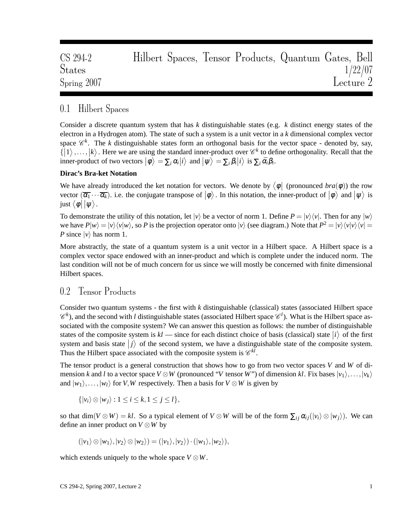| CS 294-2    |  | Hilbert Spaces, Tensor Products, Quantum Gates, Bell |           |         |
|-------------|--|------------------------------------------------------|-----------|---------|
| States      |  |                                                      |           | 1/22/07 |
| Spring 2007 |  |                                                      | Lecture 2 |         |

# 0.1 Hilbert Spaces

Consider a discrete quantum system that has *k* distinguishable states (e.g. *k* distinct energy states of the electron in a Hydrogen atom). The state of such a system is a unit vector in a *k* dimensional complex vector space  $\mathscr{C}^k$ . The *k* distinguishable states form an orthogonal basis for the vector space - denoted by, say,  $\{|1\rangle, \ldots, |k\rangle$ . Here we are using the standard inner-product over  $\mathcal{C}^k$  to define orthogonality. Recall that the inner-product of two vectors  $|\phi\rangle = \sum_i \alpha_i |i\rangle$  and  $|\psi\rangle = \sum_i \beta_i |i\rangle$  is  $\sum_i \bar{\alpha}_i \beta_i$ .

#### **Dirac's Bra-ket Notation**

We have already introduced the ket notation for vectors. We denote by  $\langle \phi |$  (pronounced *bra* $(\phi)$ ) the row  $\begin{array}{c} \hline \end{array}$ vector  $(\overline{\alpha_1} \cdots \overline{\alpha_k})$ . i.e. the conjugate transpose of  $|\phi\rangle$ . In this notation, the inner-product of  $|\phi\rangle$  and  $|\psi\rangle$  is just  $\langle \phi | |\psi \rangle$  .

To demonstrate the utility of this notation, let  $|v\rangle$  be a vector of norm 1. Define  $P = |v\rangle\langle v|$ . Then for any  $|w\rangle$ we have  $P|w\rangle = |v\rangle\langle v|w\rangle$ , so *P* is the projection operator onto  $|v\rangle$  (see diagram.) Note that  $P^2 = |v\rangle\langle v|v\rangle\langle v| =$ *P* since  $|v\rangle$  has norm 1.

More abstractly, the state of a quantum system is a unit vector in a Hilbert space. A Hilbert space is a complex vector space endowed with an inner-product and which is complete under the induced norm. The last condition will not be of much concern for us since we will mostly be concerned with finite dimensional Hilbert spaces.

## 0.2 Tensor Products

Consider two quantum systems - the first with *k* distinguishable (classical) states (associated Hilbert space  $\mathscr{C}^k$ ), and the second with *l* distinguishable states (associated Hilbert space  $\mathscr{C}^l$ ). What is the Hilbert space associated with the composite system? We can answer this question as follows: the number of distinguishable states of the composite system is  $kl$  — since for each distinct choice of basis (classical) state  $|i\rangle$  of the first  $\begin{array}{c} \end{array}$ system and basis state  $|j\rangle$  of the second system, we have a distinguishable state of the composite system. Thus the Hilbert space associated with the composite system is  $\mathcal{C}^{kl}$ .

The tensor product is a general construction that shows how to go from two vector spaces *V* and *W* of dimension *k* and *l* to a vector space  $V \otimes W$  (pronounced "*V* tensor *W*") of dimension *kl*. Fix bases  $|v_1\rangle, \ldots, |v_k\rangle$ and  $|w_1\rangle, \ldots, |w_l\rangle$  for *V*, *W* respectively. Then a basis for  $V \otimes W$  is given by

 $\{|v_i\rangle \otimes |w_j\rangle : 1 \leq i \leq k, 1 \leq j \leq l\},\$ 

so that  $\dim(V \otimes W) = kl$ . So a typical element of  $V \otimes W$  will be of the form  $\sum_{ij} \alpha_{ij}(|v_i\rangle \otimes |w_j\rangle)$ . We can define an inner product on *V* ⊗*W* by

$$
(|v_1\rangle \otimes |w_1\rangle, |v_2\rangle \otimes |w_2\rangle) = (|v_1\rangle, |v_2\rangle) \cdot (|w_1\rangle, |w_2\rangle),
$$

which extends uniquely to the whole space  $V \otimes W$ .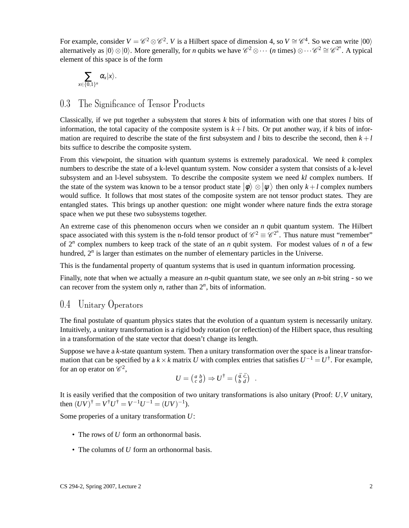For example, consider  $V = \mathcal{C}^2 \otimes \mathcal{C}^2$ . *V* is a Hilbert space of dimension 4, so  $V \cong \mathcal{C}^4$ . So we can write  $|00\rangle$ alternatively as  $|0\rangle \otimes |0\rangle$ . More generally, for *n* qubits we have  $\mathcal{C}^2 \otimes \cdots$  (*n* times)  $\otimes \cdots \mathcal{C}^2 \cong \mathcal{C}^{2^n}$ . A typical element of this space is of the form

$$
\sum_{x\in\{0,1\}^n}\alpha_x|x\rangle.
$$

### 0.3 The Significance of Tensor Products

Classically, if we put together a subsystem that stores *k* bits of information with one that stores *l* bits of information, the total capacity of the composite system is  $k + l$  bits. Or put another way, if k bits of information are required to describe the state of the first subsystem and *l* bits to describe the second, then  $k+l$ bits suffice to describe the composite system.

From this viewpoint, the situation with quantum systems is extremely paradoxical. We need *k* complex numbers to describe the state of a k-level quantum system. Now consider a system that consists of a k-level subsystem and an l-level subsystem. To describe the composite system we need *kl* complex numbers. If the state of the system was known to be a tensor product state  $|\phi\rangle \otimes |\psi\rangle$  then only  $k+l$  complex numbers would suffice. It follows that most states of the composite system are not tensor product states. They are entangled states. This brings up another question: one might wonder where nature finds the extra storage space when we put these two subsystems together.

An extreme case of this phenomenon occurs when we consider an *n* qubit quantum system. The Hilbert space associated with this system is the n-fold tensor product of  $\mathcal{C}^2 = \mathcal{C}^{2^n}$ . Thus nature must "remember" of 2*<sup>n</sup>* complex numbers to keep track of the state of an *n* qubit system. For modest values of *n* of a few hundred,  $2^n$  is larger than estimates on the number of elementary particles in the Universe.

This is the fundamental property of quantum systems that is used in quantum information processing.

Finally, note that when we actually a measure an *n*-qubit quantum state, we see only an *n*-bit string - so we can recover from the system only  $n$ , rather than  $2^n$ , bits of information.

#### 0.4 Unitary Operators

The final postulate of quantum physics states that the evolution of a quantum system is necessarily unitary. Intuitively, a unitary transformation is a rigid body rotation (or reflection) of the Hilbert space, thus resulting in a transformation of the state vector that doesn't change its length.

Suppose we have a *k*-state quantum system. Then a unitary transformation over the space is a linear transformation that can be specified by a  $k \times k$  matrix *U* with complex entries that satisfies  $U^{-1} = U^{\dagger}$ . For example, for an op erator on  $\mathscr{C}^2$ ,

$$
U = \begin{pmatrix} a & b \\ c & d \end{pmatrix} \Rightarrow U^{\dagger} = \begin{pmatrix} \bar{a} & \bar{c} \\ \bar{b} & \bar{d} \end{pmatrix} .
$$

It is easily verified that the composition of two unitary transformations is also unitary (Proof: *U*,*V* unitary, then  $(UV)^{\dagger} = V^{\dagger}U^{\dagger} = V^{-1}U^{-1} = (UV)^{-1}$ .

Some properies of a unitary transformation *U*:

- The rows of *U* form an orthonormal basis.
- The columns of *U* form an orthonormal basis.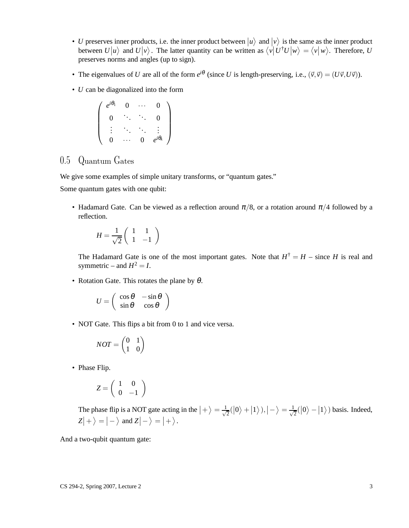- *U* preserves inner products, i.e. the inner product between  $|u\rangle$  and  $|v\rangle$  is the same as the inner product between  $U|u\rangle$  and  $U|v\rangle$ . The latter quantity can be written as  $\langle v|U^{\dagger}U|w\rangle = \langle v|w\rangle$ . Therefore, *U* preserves norms and angles (up to sign).
- The eigenvalues of *U* are all of the form  $e^{i\theta}$  (since *U* is length-preserving, i.e.,  $(\vec{v}, \vec{v}) = (U\vec{v}, U\vec{v})$ ).
- *U* can be diagonalized into the form

 $\sqrt{ }$  $\overline{\phantom{a}}$  $e^{i\theta_1}$  0 ··· 0  $0 \quad \therefore \quad \therefore \quad 0$ . . . . . . . . . . . . 0  $\cdots$  0  $e^{i\theta_k}$  $\setminus$  $\begin{array}{c} \hline \end{array}$ 

# 0.5 Quantum Gates

We give some examples of simple unitary transforms, or "quantum gates."

Some quantum gates with one qubit:

• Hadamard Gate. Can be viewed as a reflection around  $\pi/8$ , or a rotation around  $\pi/4$  followed by a reflection.

$$
H = \frac{1}{\sqrt{2}} \begin{pmatrix} 1 & 1 \\ 1 & -1 \end{pmatrix}
$$

The Hadamard Gate is one of the most important gates. Note that  $H^{\dagger} = H$  – since *H* is real and symmetric – and  $H^2 = I$ .

• Rotation Gate. This rotates the plane by  $\theta$ .

$$
U = \left(\begin{array}{cc} \cos\theta & -\sin\theta \\ \sin\theta & \cos\theta \end{array}\right)
$$

• NOT Gate. This flips a bit from 0 to 1 and vice versa.

$$
NOT = \begin{pmatrix} 0 & 1 \\ 1 & 0 \end{pmatrix}
$$

• Phase Flip.

$$
Z = \left(\begin{array}{cc} 1 & 0 \\ 0 & -1 \end{array}\right)
$$

The phase flip is a NOT gate acting in the  $|+\rangle = \frac{1}{\sqrt{2}}$  $\frac{1}{2}(|0\rangle+|1\rangle), |-\rangle=\frac{1}{\sqrt{2}}$  $\frac{1}{2}(|0\rangle - |1\rangle)$  basis. Indeed,  $|Z|+\rangle = |-\rangle$  and  $|Z-\rangle = |+\rangle$ .

And a two-qubit quantum gate: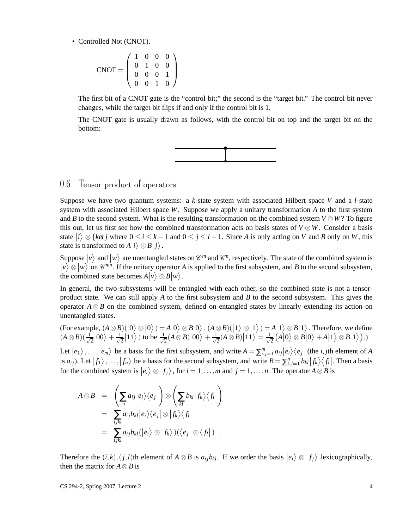• Controlled Not (CNOT).

$$
CNOT = \begin{pmatrix} 1 & 0 & 0 & 0 \\ 0 & 1 & 0 & 0 \\ 0 & 0 & 0 & 1 \\ 0 & 0 & 1 & 0 \end{pmatrix}
$$

The first bit of a CNOT gate is the "control bit;" the second is the "target bit." The control bit never changes, while the target bit flips if and only if the control bit is 1.

The CNOT gate is usually drawn as follows, with the control bit on top and the target bit on the bottom:



#### 0.6 Tensor product of operators

Suppose we have two quantum systems: a *k*-state system with associated Hilbert space *V* and a *l*-state system with associated Hilbert space *W*. Suppose we apply a unitary transformation *A* to the first system and *B* to the second system. What is the resulting transformation on the combined system  $V \otimes W$ ? To figure this out, let us first see how the combined transformation acts on basis states of  $V \otimes W$ . Consider a basis state  $|i\rangle \otimes {ket j$  where  $0 \le i \le k - 1$  and  $0 \le j \le l - 1$ . Since *A* is only acting on *V* and *B* only on *W*, this state is transformed to  $A|i\rangle \otimes B|j\rangle$ .

Suppose  $|v\rangle$  and  $|w\rangle$  are unentangled states on  $\mathcal{C}^m$  and  $\mathcal{C}^n$ , respectively. The state of the combined system is  $|v\rangle \otimes |w\rangle$  on  $\mathscr{C}^{mn}$ . If the unitary operator *A* is applied to the first subsystem, and *B* to the second subsystem, the combined state becomes  $A|\nu\rangle \otimes B|w\rangle$ .

In general, the two subsystems will be entangled with each other, so the combined state is not a tensorproduct state. We can still apply *A* to the first subsystem and *B* to the second subsystem. This gives the operator  $A \otimes B$  on the combined system, defined on entangled states by linearly extending its action on unentangled states.

(For example, 
$$
(A \otimes B)(|0\rangle \otimes |0\rangle) = A|0\rangle \otimes B|0\rangle
$$
.  $(A \otimes B)(|1\rangle \otimes |1\rangle) = A|1\rangle \otimes B|1\rangle$ . Therefore, we define  $(A \otimes B)(\frac{1}{\sqrt{2}}|00\rangle + \frac{1}{\sqrt{2}}|11\rangle)$  to be  $\frac{1}{\sqrt{2}}(A \otimes B)|00\rangle + \frac{1}{\sqrt{2}}(A \otimes B)|11\rangle = \frac{1}{\sqrt{2}}(A|0\rangle \otimes B|0\rangle + A|1\rangle \otimes B|1\rangle)$ .)

Let  $|e_1\rangle, \ldots, |e_m\rangle$  be a basis for the first subsystem, and write  $A = \sum_{i,j=1}^m a_{ij} |e_i\rangle\langle e_j|$  (the *i*, *j*th element of *A* is  $a_{ij}$ ). Let  $|f_1\rangle, \ldots, |f_n\rangle$  be a basis for the second subsystem, and write  $B = \sum_{k,l=1}^n b_{kl} |f_k\rangle \langle f_l|$ . Then a basis for the combined system is  $|e_i\rangle \otimes |f_j\rangle$ , for  $i = 1, ..., m$  and  $j = 1, ..., n$ . The operator  $A \otimes B$  is

$$
A \otimes B = \left(\sum_{ij} a_{ij} |e_i\rangle\langle e_j| \right) \otimes \left(\sum_{kl} b_{kl} |f_k\rangle\langle f_l| \right)
$$
  
= 
$$
\sum_{ijkl} a_{ij} b_{kl} |e_i\rangle\langle e_j| \otimes |f_k\rangle\langle f_l|
$$
  
= 
$$
\sum_{ijkl} a_{ij} b_{kl} (|e_i\rangle \otimes |f_k\rangle) (\langle e_j| \otimes \langle f_l|) .
$$

Therefore the  $(i, k), (j, l)$ th element of  $A \otimes B$  is  $a_{ij}b_{kl}$ . If we order the basis  $|e_i\rangle \otimes |f_j\rangle$  lexicographically, then the matrix for  $A \otimes B$  is